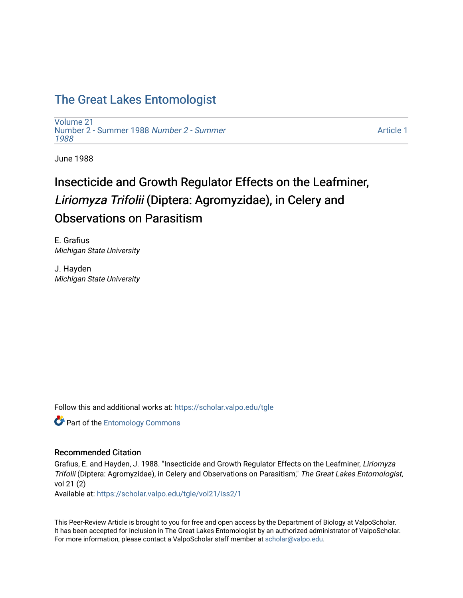## [The Great Lakes Entomologist](https://scholar.valpo.edu/tgle)

[Volume 21](https://scholar.valpo.edu/tgle/vol21) [Number 2 - Summer 1988](https://scholar.valpo.edu/tgle/vol21/iss2) Number 2 - Summer [1988](https://scholar.valpo.edu/tgle/vol21/iss2) 

[Article 1](https://scholar.valpo.edu/tgle/vol21/iss2/1) 

June 1988

# Insecticide and Growth Regulator Effects on the Leafminer, Liriomyza Trifolii (Diptera: Agromyzidae), in Celery and Observations on Parasitism

E. Grafius Michigan State University

J. Hayden Michigan State University

Follow this and additional works at: [https://scholar.valpo.edu/tgle](https://scholar.valpo.edu/tgle?utm_source=scholar.valpo.edu%2Ftgle%2Fvol21%2Fiss2%2F1&utm_medium=PDF&utm_campaign=PDFCoverPages) 

**Part of the Entomology Commons** 

### Recommended Citation

Grafius, E. and Hayden, J. 1988. "Insecticide and Growth Regulator Effects on the Leafminer, Liriomyza Trifolii (Diptera: Agromyzidae), in Celery and Observations on Parasitism," The Great Lakes Entomologist, vol 21 (2)

Available at: [https://scholar.valpo.edu/tgle/vol21/iss2/1](https://scholar.valpo.edu/tgle/vol21/iss2/1?utm_source=scholar.valpo.edu%2Ftgle%2Fvol21%2Fiss2%2F1&utm_medium=PDF&utm_campaign=PDFCoverPages) 

This Peer-Review Article is brought to you for free and open access by the Department of Biology at ValpoScholar. It has been accepted for inclusion in The Great Lakes Entomologist by an authorized administrator of ValpoScholar. For more information, please contact a ValpoScholar staff member at [scholar@valpo.edu](mailto:scholar@valpo.edu).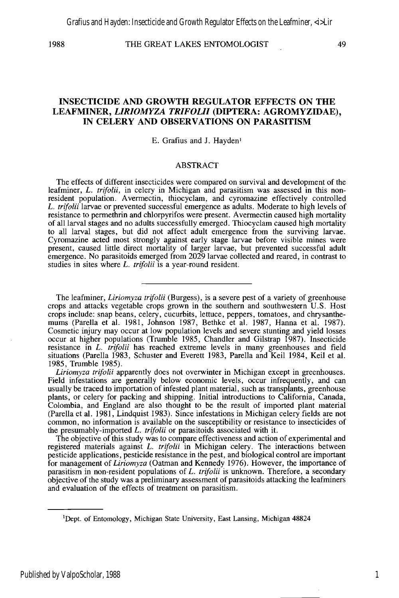#### 1988 THE GREAT LAKES ENTOMOLOGIST 49

#### **INSECTICIDE AND GROWTH REGULATOR EFFECTS ON THE LEAFMINER,** *LIRIOMYZA TRIFOLII* **(DIPTERA: AGROMYZIDAE), IN CELERY AND OBSERVATIONS ON PARASITISM**

#### E. Grafius and J. Hayden<sup>1</sup>

#### ABSTRACT

The effects of different insecticides were compared on survival and development of the leafminer, L. *trifolii,* in celery in Michigan and parasitism was assessed in this nonresident population. Avermectin, thiocyclam, and cyromazine effectively controlled L. *trifolii* larvae or prevented successful emergence as adults. Moderate to high levels of resistance to permethrin and chlorpyrifos were present. Avermectin caused high mortality of all larval stages and no adults successfully emerged. Thiocyclam caused high mortality to all larval stages, but did not affect adult emergence from the surviving larvae. Cyromazine acted most strongly against early stage larvae before visible mines were present, caused little direct mortality of larger larvae, but prevented successful adult emergence. No parasitoids emerged from 2029 larvae collected and reared, in contrast to studies in sites where L. *trifolii* is a year-round resident.

The leafminer, *Liriomyza trifolii* (Burgess), is a severe pest of a variety of greenhouse crops and attacks vegetable crops grown in the southern and southwestern U.S. Host crops include: snap beans, celery, cucurbits, lettuce, peppers, tomatoes, and chrysanthemums (Parella et al. 1981, Johnson 1987, Bethke et al. 1987, Hanna et al. 1987). Cosmetic injury may occur at low population levels and severe stunting and yield losses occur at higher populations (Trumble 1985, Chandler and Gilstrap 1987). Insecticide resistance in L. *trifolii* has reached extreme levels in many greenhouses and field situations (Parella 1983, Schuster and Everett 1983, Parella and Keil 1984, Keil et al. 1985, Trumble 1985).

*Liriomyza trifolii* apparently does not overwinter in Michigan except in greenhouses. Field infestations are generally below economic levels, occur infrequently, and can usually be traced to importation of infested plant material, such as transplants, greenhouse plants, or celery for packing and shipping. Initial introductions to California, Canada, Colombia, and England are also thought to be the result of imported plant material (Parella et al. 1981, Lindquist 1983). Since infestations in Michigan celery fields are not common, no information is available on the susceptibility or resistance to insecticides of the presumably-imported L. *trifolii* or parasitoids associated with it.

The objective of this study was to compare effectiveness and action of experimental and registered materials against L. *trifolii* in Michigan celery. The interactions between pesticide applications, pesticide resistance in the pest, and biological control are important for management of *Liriomyza* (Oatman and Kennedy 1976). However, the importance of parasitism in non-resident populations of L. *trifolii* is unknown. Therefore, a secondary objective of the study was a preliminary assessment of parasitoids attacking the leafminers and evaluation of the effects of treatment on parasitism.

1

lDept. of Entomology, Michigan State University, East Lansing, Michigan 48824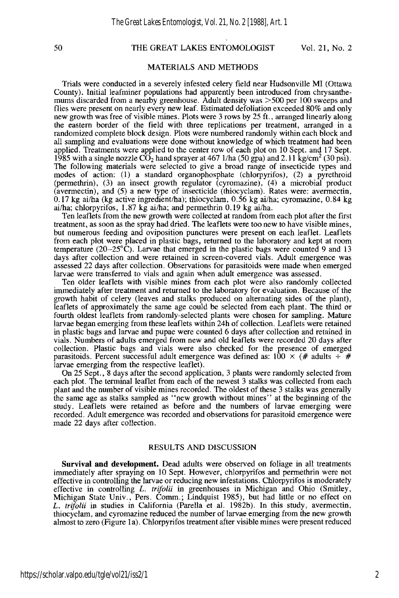#### 50 THE GREAT LAKES ENTOMOLOGIST Vol. 21, No.2

#### MATERIALS AND METHODS

Trials were conducted in a severely infested celery field near Hudsonville MI (Ottawa County). Initial leafminer populations had apparently been introduced from chrysanthemums discarded from a nearby greenhouse. Adult density was >500 per 100 sweeps and flies were present on nearly every new leaf. Estimated defoliation exceeded 80% and only new growth was free of visible mines. Plots were 3 rows by 25 ft., arranged linearly along the eastern border of the field with three replications per treatment, arranged in a randomized complete block design. Plots were numbered randoruly within each block and all sampling and evaluations were done without knowledge of which treatment had been applied. Treatments were applied to the center row of each plot on 10 Sept. and 17 Sept. 1985 with a single nozzle  $\overline{CO}_2$  hand sprayer at 467 1/ha (50 gpa) and 2.11 kg/cm<sup>2</sup> (30 psi). The following materials were selected to give a broad range of insecticide types and modes of action: (1) a standard organophosphate (chlorpyrifos), (2) a pyrethroid (permethrin), (3) an insect growth regulator (cyromazine), (4) a microbial product (avermectin), and (5) a new type of insecticide (thiocyclam). Rates were: avermectin, 0.17 kg ai/ha (kg active ingredient/ha); thiocyclam, 0.56 kg ai/ha; cyromazine, 0.84 kg ai/ha; chlorpyrifos, 1.87 kg ai/ha; and permethrin 0.19 kg ai/ha.

Ten leaflets from the new growth were collected at random from each plot after the first treatment, as soon as the spray had dried. The leaflets were too new to have visible mines, but numerous feeding and oviposition punctures were present on each leaflet. Leaflets from each plot were placed in plastic bags, returned to the laboratory and kept at room temperature  $(20-25^{\circ}\text{C})$ . Larvae that emerged in the plastic bags were counted 9 and 13 days after collection and were retained in screen-covered vials. Adult emergence was assessed 22 days after collection. Observations for parasitoids were made when emerged larvae were transferred to vials and again when adult emergence was assessed.

Ten older leaflets with visible mines from each plot were also randomly collected immediately after treatment and returned to the laboratory for evaluation. Because of the growth habit of celery (leaves and stalks produced on alternating sides of the plant), leaflets of approximately the same age could be selected from each plant. The third or fourth oldest leaflets from randomly-selected plants were chosen for sampling. Mature larvae began emerging from these leaflets within 24h of collection. Leaflets were retained in plastic bags and larvae and pupae were counted 6 days after collection and retained in vials. Numbers of adults emerged from new and old leaflets were recorded 20 days after collection. Plastic bags and vials were also checked for the presence of emerged parasitoids. Percent successful adult emergence was defined as:  $100 \times (\text{\# adults} \div \text{\#}$ larvae emerging from the respective leaflet).

On 25 Sept., 8 days after the second application, 3 plants were randomly selected from each plot. The terminal leaflet from each of the newest 3 stalks was collected from each plant and the number of visible mines recorded. The oldest of these 3 stalks was generally the same age as stalks sampled as "new growth without mines" at the beginning of the study. Leaflets were retained as before and the numbers of larvae emerging were recorded. Adult emergence was recorded and observations for parasitoid emergence were made 22 days after collection.

#### RESULTS AND DISCUSSION

**Survival and development.** Dead adults were observed on foliage in all treatments immediately after spraying on 10 Sept. However, chlorpyrifos and permethrin were not effective in controlling the larvae or reducing new infestations. Chlorpyrifos is moderately effective in controlling L. *trifolii* in greenhouses in Michigan and Ohio (Smitley, Michigan State Univ., Pers. Comm.; Lindquist 1985), but had little or no effect on L. *trifolii* in studies in California (Parella et al. 1982b). In this study, avermectin, thiocyclam, and cyromazine reduced the number of larvae emerging from the new growth almost to zero (Figure la). Chlorpyrifos treatment after visible mines were present reduced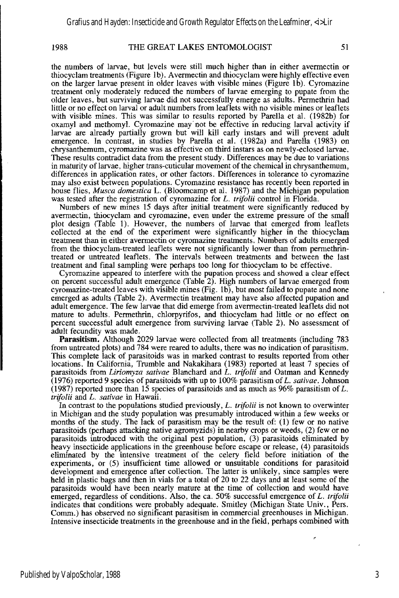#### 1988 THE GREAT LAKES ENTOMOLOGIST 51

the numbers of larvae, but levels were still much higher than in either avermectin or thiocyclam treatments (Figure Ib). Avermectin and thiocyclam were highly effective even on the larger larvae present in older leaves with visible mines (Figure Ib). Cyromazine treatment only moderately reduced the numbers of larvae emerging to pupate from the older leaves, but surviving larvae did not successfully emerge as adults. Permethrin had little or no effect on larval or adult numbers from leaflets with no visible mines or leaflets with visible mines. This was similar to results reported by Parella et a1. (1982b) for oxamyl and methomyl. Cyromazine may' not be effective in reducing larval activity if larvae are already partially grown but will kill early instars and will prevent adult emergence. In contrast, in studies by Parella et al. (1982a) and Parella (1983) on chrysanthemum, cyromazine was as effective on third instars as on newly-eclosed larvae. These results contradict data from the present study. Differences may be due to variations in maturity of larvae, higher trans-cuticular movement of the chemical in chrysanthemum, differences in application rates, or other factors. Differences in tolerance to cyromazine may also exist between populations. Cyromazine resistance has recently been reported in house flies, *Musca domestica* L. (Bloomcamp et al. 1987) and the Michigan population was tested after the registration of cyromazine for *L. trifolii* control in Florida.

Numbers of new mines 15 days after initial treatment were significantly reduced by avermectin, thiocyclam and cyromazine, even under the extreme pressure of the small plot design (Table 1). However, the numbers of larvae that emerged from leaflets collected at the end of the experiment were significantly higher in the thiocyclam treatment than in either avermectin or cyromazine treatments. Numbers of adults emerged from the thiocyclam-treated leaflets were not significantly lower than from permethrintreated or untreated leaflets. The intervals between treatments and between the last treatment and fmal sampling were perhaps too long for thiocyclam to be effective.

Cyromazine appeared to interfere with the pupation process and showed a clear effect on percent successful adult emergence (Table 2). High numbers of larvae emerged from cyromazine-treated leaves with visible mines (Fig. Ib), but most failed to pupate and none emerged as adults (Table 2). Avermectin treatment may have also affected pupation and adult emergence. The few larvae that did emerge from avermectin-treated leaflets did not mature to adults, Permethrin, chlorpyrifos, and thiocyclam had little or no effect on percent successful adult emergence from surviving larvae (Table 2). No assessment of adult fecundity was made.

**Parasitism.** Although 2029 larvae were collected from all treatments (including 783 from untreated plots) and 784 were reared to adults, there was no indication of parasitism. This complete lack of parasitoids was in marked contrast to results reported from other locations. In California, Trumble and Nakakihara (1983) reported at least 7 species of parasitoids from *Liriomyza sativae* Blanchard and L. *trifolii* and Oatman and Kennedy (1976) reported 9 species of parasitoids with up to 100% parasitism of L. *sativae*. Johnson (1987) reported more than 15 species of parasitoids and as much as 96% parasitism of L. *trifolii* and L. *sativae* in Hawaii.

In contrast to the popUlations studied previously, L. *trifolii* is not known to overwinter in Michigan and the study population was presumably introduced within a few weeks or months of the study. The lack of parasitism may be the result of: (1) few or no native parasitoids (perhaps attacking native agromyzids) in nearby crops or weeds, (2) few or no parasitoids introduced with the original pest population, (3) parasitoids eliminated by heavy insecticide applications in the greenhouse before escape or release, (4) parasitoids eliminated by the intensive treatment of the celery field before initiation of the experiments, or (5) insufficient time allowed or unsuitable conditions for parasitoid development and emergence after collection. The latter is unlikely, since samples were held in plastic bags and then in vials for a total of 20 to 22 days and at least some of the parasitoids would have been nearly mature at the time of collection and would have emerged, regardless of conditions. Also, the ca. 50% successful emergence of *L. trifolii*  indicates that conditions were probably adequate. Smitley (Michigan State Univ., Pers. Comm.) has observed no significant parasitism in commercial greenhouses in Michigan. Intensive insecticide treatments in the greenhouse and in the field, perhaps combined with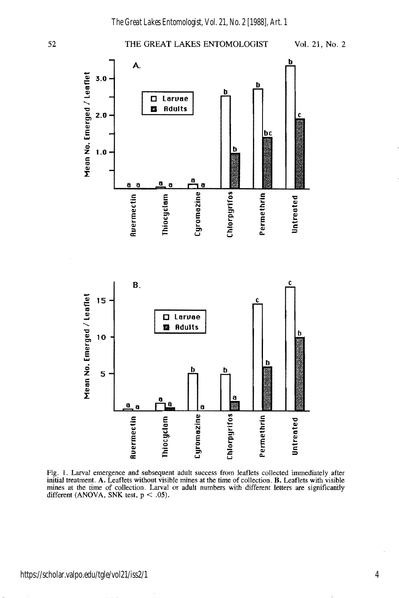#### 52 THE GREAT LAKES ENTOMOLOGIST Vol. 21, No. 2 А. <sup>~</sup>3.0 b h Ω Larvae Z Adults  $2.0$ t bc **2**<br>E<br>Z<br>E ħ a a  $\mathbf a$ a Rvermectin<br>|<br>| Untreated miocyclam Chlorpyrifos Cyromazine Permethrin I-::::J



Fig. 1. Larval emergence and subsequent adult success from leaflets collected immediately after initial treatment. A. Leaflets without visible mines at the time of collection, B. Leaflets with visible mines at the time of collection. Larval or adult numbers with different letters are significantly different (ANOVA, SNK test,  $p < .05$ ).

https://scholar.valpo.edu/tgle/vol21/iss2/1

4

Leaflet

ੋ<br>ਚ

Eme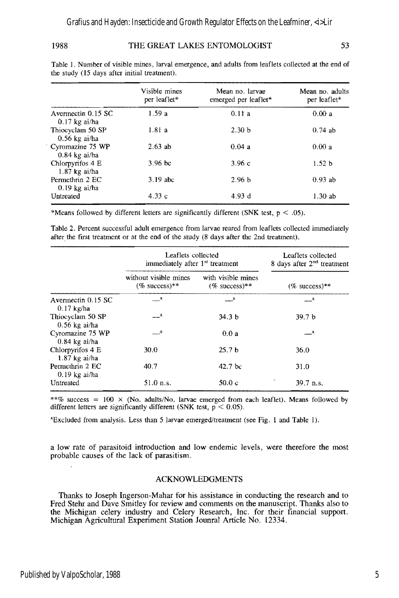#### 1988 THE GREAT LAKES ENTOMOLOGIST 53

|                                       | Visible mines<br>per leaflet* | Mean no. larvae<br>emerged per leaflet* | Mean no. adults<br>per leaflet* |
|---------------------------------------|-------------------------------|-----------------------------------------|---------------------------------|
| Avermectin 0.15 SC<br>$0.17$ kg ai/ha | 1.59a                         | 0.11a                                   | 0.00a                           |
| Thiocyclam 50 SP<br>$0.56$ kg ai/ha   | 1.81a                         | 2.30 <sub>b</sub>                       | $0.74$ ab                       |
| Cyromazine 75 WP<br>$0.84$ kg ai/ha   | $2.63$ ab                     | 0.04a                                   | 0.00a                           |
| Chlorpyrifos 4 E<br>$1.87$ kg ai/ha   | $3.96$ bc                     | 3.96c                                   | 1.52 <sub>b</sub>               |
| Permethrin 2 EC<br>$0.19$ kg ai/ha    | $3.19$ abc                    | 2.96 <sub>b</sub>                       | $0.93$ ab                       |
| Untreated                             | 4.33c                         | 4.93 d                                  | 1.30ab                          |

Table 1. Number of visible mines, larval emergence, and adults from leaflets collected at the end of the study (15 days after initial treatment).

\*Means followed by different letters are significantly different (SNK test,  $p < .05$ ).

Table 2. Percent successful adult emergence from larvae reared from leaflets collected immediately after the first treatment or at the end of the study (8 days after the 2nd treatment).

|                                     | Leaflets collected<br>immediately after 1 <sup>st</sup> treatment |                                           | Leaflets collected<br>8 days after $2nd$ treatment |
|-------------------------------------|-------------------------------------------------------------------|-------------------------------------------|----------------------------------------------------|
|                                     | without visible mines<br>$(\%$ success)**                         | with visible mines<br>$(%$ success $)$ ** | $(\%$ success)**                                   |
| Avermectin 0.15 SC<br>$0.17$ kg/ha  | $\mathbf{X}_{\text{num}}$                                         | $\mathbf{x}$                              | <u>__</u> x                                        |
| Thiocyclam 50 SP<br>$0.56$ kg ai/ha | $\mathbf{r}$                                                      | 34.3 <sub>b</sub>                         | 39.7 <sub>b</sub>                                  |
| Cyromazine 75 WP<br>$0.84$ kg ai/ha | $\mathbf{x}$                                                      | 0.0a                                      | $\overline{X}$                                     |
| Chlorpyrifos 4 E<br>$1.87$ kg ai/ha | 30.0                                                              | 25.7 <sub>b</sub>                         | 36.0                                               |
| Permethrin 2 EC<br>$0.19$ kg ai/ha  | 40.7                                                              | 42.7 <sub>bc</sub>                        | 31.0                                               |
| Untreated                           | $51.0$ n.s.                                                       | 50.0c                                     | 39.7 n.s.                                          |

\*\*% success =  $100 \times$  (No. adults/No. larvae emerged from each leaflet). Means followed by different letters are significantly different (SNK test,  $p < 0.05$ ).

'Excluded from analysis. Less than 5 larvae emerged/treatment (see Fig. I and Table I).

a low rate of parasitoid introduction and low endemic levels, were therefore the most probable causes of the lack of parasitism.

#### ACKNOWLEDGMENTS

Thanks to Joseph Ingerson-Mahar for his assistance in conducting the research and to Fred Stehr and Dave Smitley for review and comments on the manuscript. Thanks also to the Michigan celery industry and Celery Research, Inc. for their financial support. Michigan Agricultural Experiment Station Jounral Article No. 12334.